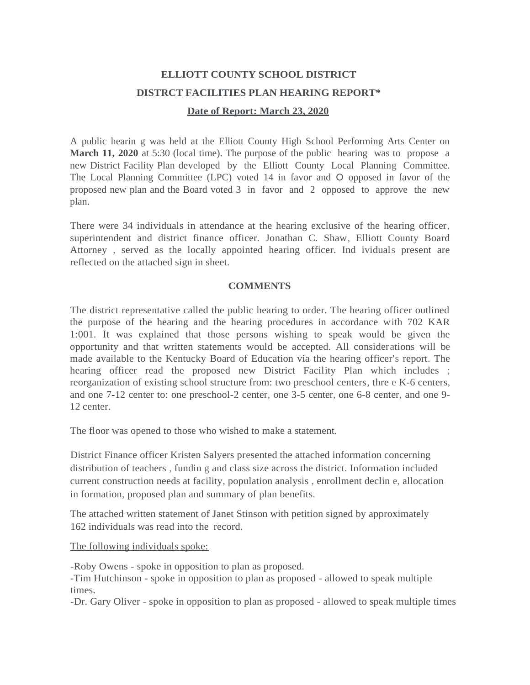## **ELLIOTT COUNTY SCHOOL DISTRICT DISTRCT FACILITIES PLAN HEARING REPORT\* Date of Report: March 23, 2020**

A public hearin g was held at the Elliott County High School Performing Arts Center on **March 11, 2020** at 5:30 (local time). The purpose of the public hearing was to propose a new District Facility Plan developed by the Elliott County Local Planning Committee. The Local Planning Committee (LPC) voted 14 in favor and O opposed in favor of the proposed new plan and the Board voted 3 in favor and 2 opposed to approve the new plan.

There were 34 individuals in attendance at the hearing exclusive of the hearing officer, superintendent and district finance officer. Jonathan C. Shaw, Elliott County Board Attorney , served as the locally appointed hearing officer. Ind ividuals present are reflected on the attached sign in sheet.

## **COMMENTS**

The district representative called the public hearing to order. The hearing officer outlined the purpose of the hearing and the hearing procedures in accordance with 702 KAR 1:001. It was explained that those persons wishing to speak would be given the opportunity and that written statements would be accepted. All considerations will be made available to the Kentucky Board of Education via the hearing officer's report. The hearing officer read the proposed new District Facility Plan which includes ; reorganization of existing school structure from: two preschool centers, thre e K-6 centers, and one 7-12 center to: one preschool-2 center, one 3-5 center, one 6-8 center, and one 9- 12 center.

The floor was opened to those who wished to make a statement.

District Finance officer Kristen Salyers presented the attached information concerning distribution of teachers , fundin g and class size across the district. Information included current construction needs at facility, population analysis , enrollment declin e, allocation in formation, proposed plan and summary of plan benefits.

The attached written statement of Janet Stinson with petition signed by approximately 162 individuals was read into the record.

The following individuals spoke:

-Roby Owens - spoke in opposition to plan as proposed.

-Tim Hutchinson - spoke in opposition to plan as proposed - allowed to speak multiple times.

-Dr. Gary Oliver - spoke in opposition to plan as proposed - allowed to speak multiple times